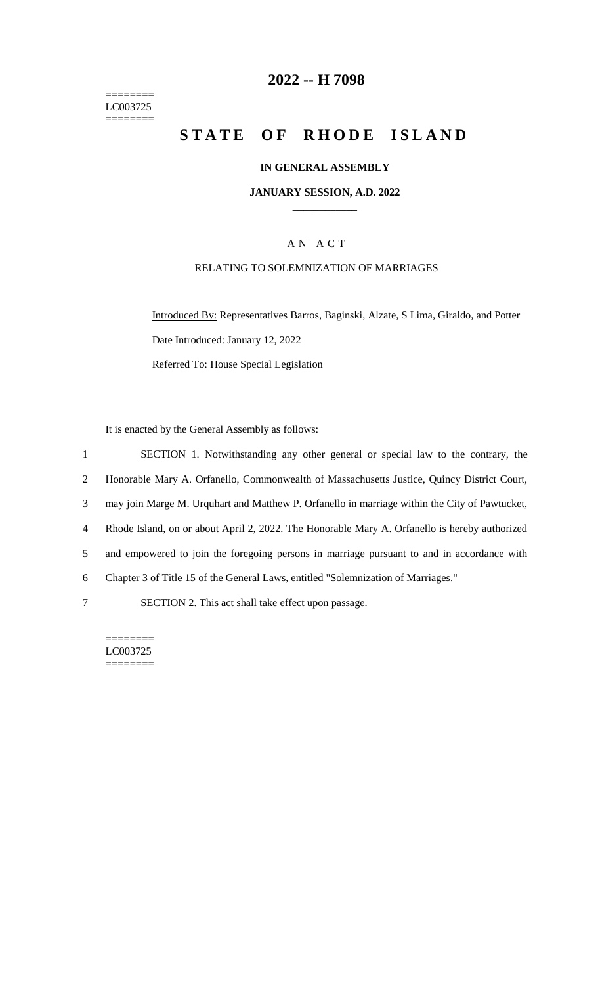======== LC003725 ========

# **2022 -- H 7098**

# **STATE OF RHODE ISLAND**

#### **IN GENERAL ASSEMBLY**

#### **JANUARY SESSION, A.D. 2022 \_\_\_\_\_\_\_\_\_\_\_\_**

### A N A C T

#### RELATING TO SOLEMNIZATION OF MARRIAGES

Introduced By: Representatives Barros, Baginski, Alzate, S Lima, Giraldo, and Potter Date Introduced: January 12, 2022 Referred To: House Special Legislation

It is enacted by the General Assembly as follows:

 SECTION 1. Notwithstanding any other general or special law to the contrary, the Honorable Mary A. Orfanello, Commonwealth of Massachusetts Justice, Quincy District Court, may join Marge M. Urquhart and Matthew P. Orfanello in marriage within the City of Pawtucket, Rhode Island, on or about April 2, 2022. The Honorable Mary A. Orfanello is hereby authorized and empowered to join the foregoing persons in marriage pursuant to and in accordance with Chapter 3 of Title 15 of the General Laws, entitled "Solemnization of Marriages." SECTION 2. This act shall take effect upon passage.

======== LC003725 ========